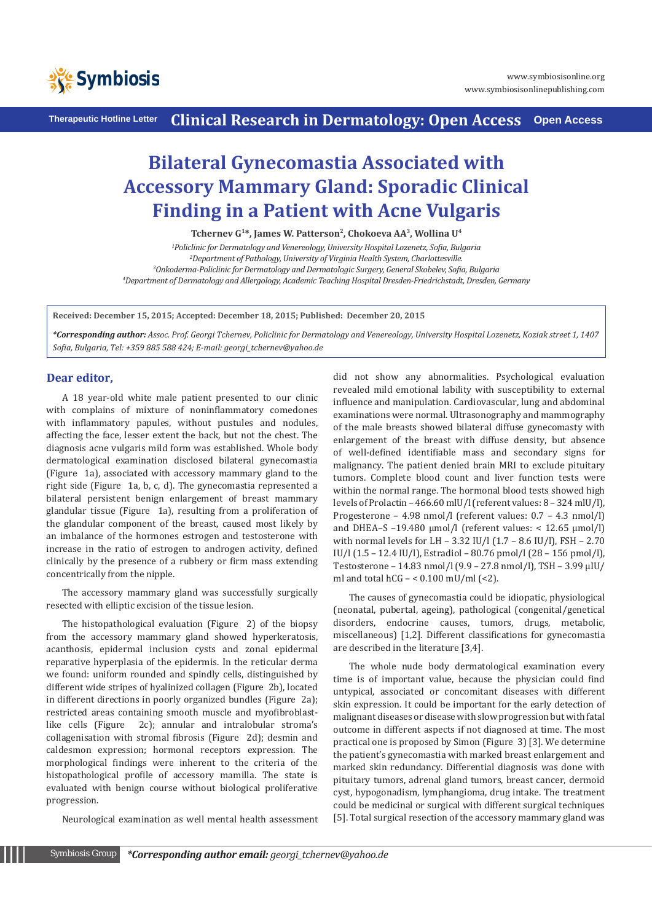

**Therapeutic Hotline Letter Clinical Research in Dermatology: Open Access Open Access**

## **Bilateral Gynecomastia Associated with Accessory Mammary Gland: Sporadic Clinical Finding in a Patient with Acne Vulgaris**

**Tchernev G1\*, James W. Patterson2, Chokoeva AA3, Wollina U4**

 *Policlinic for Dermatology and Venereology, University Hospital Lozenetz, Sofia, Bulgaria Department of Pathology, University of Virginia Health System, Charlottesville. Onkoderma-Policlinic for Dermatology and Dermatologic Surgery, General Skobelev, Sofia, Bulgaria Department of Dermatology and Allergology, Academic Teaching Hospital Dresden-Friedrichstadt, Dresden, Germany*

**Received: December 15, 2015; Accepted: December 18, 2015; Published: December 20, 2015**

*\*Corresponding author: Assoc. Prof. Georgi Tchernev, Policlinic for Dermatology and Venereology, University Hospital Lozenetz, Koziak street 1, 1407 Sofia, Bulgaria, Tel: +359 885 588 424; E-mail: georgi\_tchernev@yahoo.de*

## **Dear editor,**

A 18 year-old white male patient presented to our clinic with complains of mixture of noninflammatory comedones with inflammatory papules, without pustules and nodules, affecting the face, lesser extent the back, but not the chest. The diagnosis acne vulgaris mild form was established. Whole body dermatological examination disclosed bilateral gynecomastia (Figure 1a), associated with accessory mammary gland to the right side (Figure 1a, b, c, d). The gynecomastia represented a bilateral persistent benign enlargement of breast mammary glandular tissue (Figure 1a), resulting from a proliferation of the glandular component of the breast, caused most likely by an imbalance of the hormones estrogen and testosterone with increase in the ratio of estrogen to androgen activity, defined clinically by the presence of a rubbery or firm mass extending concentrically from the nipple.

The accessory mammary gland was successfully surgically resected with elliptic excision of the tissue lesion.

The histopathological evaluation (Figure 2) of the biopsy from the accessory mammary gland showed hyperkeratosis, acanthosis, epidermal inclusion cysts and zonal epidermal reparative hyperplasia of the epidermis. In the reticular derma we found: uniform rounded and spindly cells, distinguished by different wide stripes of hyalinized collagen (Figure 2b), located in different directions in poorly organized bundles (Figure 2a); restricted areas containing smooth muscle and myofibroblastlike cells (Figure 2c); annular and intralobular stroma's collagenisation with stromal fibrosis (Figure 2d); desmin and caldesmon expression; hormonal receptors expression. The morphological findings were inherent to the criteria of the histopathological profile of accessory mamilla. The state is evaluated with benign course without biological proliferative progression.

Neurological examination as well mental health assessment

did not show any abnormalities. Psychological evaluation revealed mild emotional lability with susceptibility to external influence and manipulation. Cardiovascular, lung and abdominal examinations were normal. Ultrasonography and mammography of the male breasts showed bilateral diffuse gynecomasty with enlargement of the breast with diffuse density, but absence of well-defined identifiable mass and secondary signs for malignancy. The patient denied brain MRI to exclude pituitary tumors. Complete blood count and liver function tests were within the normal range. The hormonal blood tests showed high levels of Prolactin – 466.60 mlU/l (referent values: 8 – 324 mlU/l), Progesterone – 4.98 nmol/l (referent values: 0.7 – 4.3 nmol/l) and DHEA-S -19.480  $\mu$ mol/l (referent values: < 12.65  $\mu$ mol/l) with normal levels for LH - 3.32 IU/l  $(1.7 - 8.6 \text{ IU/l})$ , FSH - 2.70 IU/l (1.5 – 12.4 IU/l), Estradiol – 80.76 pmol/l (28 – 156 pmol/l), Testosterone – 14.83 nmol/l (9.9 – 27.8 nmol/l), TSH – 3.99 µIU/ ml and total hCG – < 0.100 mU/ml (<2).

The causes of gynecomastia could be idiopatic, physiological (neonatal, pubertal, ageing), pathological (congenital/genetical disorders, endocrine causes, tumors, drugs, metabolic, miscellaneous) [1,2]. Different classifications for gynecomastia are described in the literature [3,4].

The whole nude body dermatological examination every time is of important value, because the physician could find untypical, associated or concomitant diseases with different skin expression. It could be important for the early detection of malignant diseases or disease with slow progression but with fatal outcome in different aspects if not diagnosed at time. The most practical one is proposed by Simon (Figure 3) [3]. We determine the patient's gynecomastia with marked breast enlargement and marked skin redundancy. Differential diagnosis was done with pituitary tumors, adrenal gland tumors, breast cancer, dermoid cyst, hypogonadism, lymphangioma, drug intake. The treatment could be medicinal or surgical with different surgical techniques [5]. Total surgical resection of the accessory mammary gland was